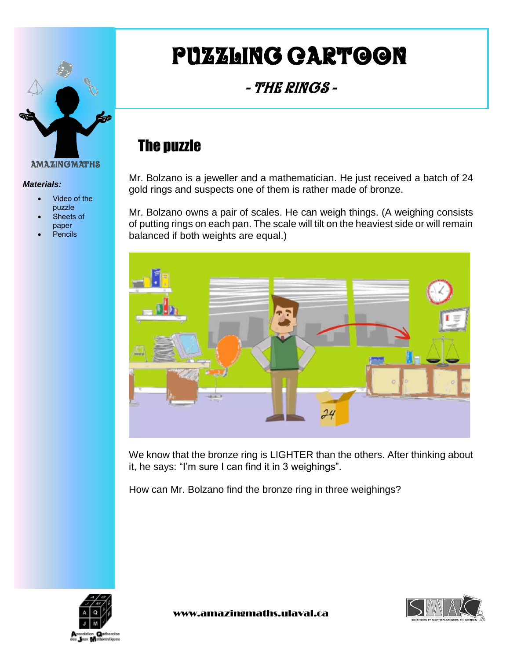

#### *Materials:*

- Video of the puzzle
- Sheets of paper
- Pencils

# Puzzling cartoon

### - The Rings -

## The puzzle

Mr. Bolzano is a jeweller and a mathematician. He just received a batch of 24 gold rings and suspects one of them is rather made of bronze.

Mr. Bolzano owns a pair of scales. He can weigh things. (A weighing consists of putting rings on each pan. The scale will tilt on the heaviest side or will remain balanced if both weights are equal.)



We know that the bronze ring is LIGHTER than the others. After thinking about it, he says: "I'm sure I can find it in 3 weighings".

How can Mr. Bolzano find the bronze ring in three weighings?



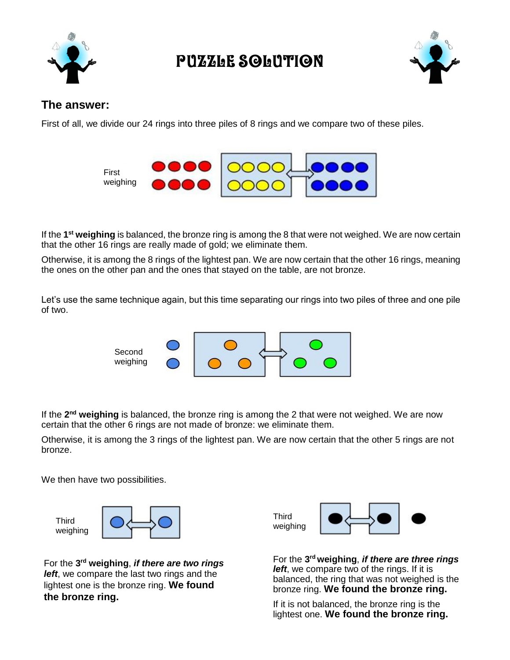

PUZZLE SOLUTION



#### **The answer:**

First of all, we divide our 24 rings into three piles of 8 rings and we compare two of these piles.



If the 1<sup>st</sup> weighing is balanced, the bronze ring is among the 8 that were not weighed. We are now certain that the other 16 rings are really made of gold; we eliminate them.

Otherwise, it is among the 8 rings of the lightest pan. We are now certain that the other 16 rings, meaning the ones on the other pan and the ones that stayed on the table, are not bronze.

Let's use the same technique again, but this time separating our rings into two piles of three and one pile of two.



If the 2<sup>nd</sup> weighing is balanced, the bronze ring is among the 2 that were not weighed. We are now certain that the other 6 rings are not made of bronze: we eliminate them.

Otherwise, it is among the 3 rings of the lightest pan. We are now certain that the other 5 rings are not bronze.

We then have two possibilities.

Third weighing

For the **3 rd weighing**, *if there are two rings left*, we compare the last two rings and the lightest one is the bronze ring. **We found the bronze ring.** 



For the **3 rd weighing**, *if there are three rings left*, we compare two of the rings. If it is balanced, the ring that was not weighed is the bronze ring. **We found the bronze ring.** 

If it is not balanced, the bronze ring is the lightest one. **We found the bronze ring.**